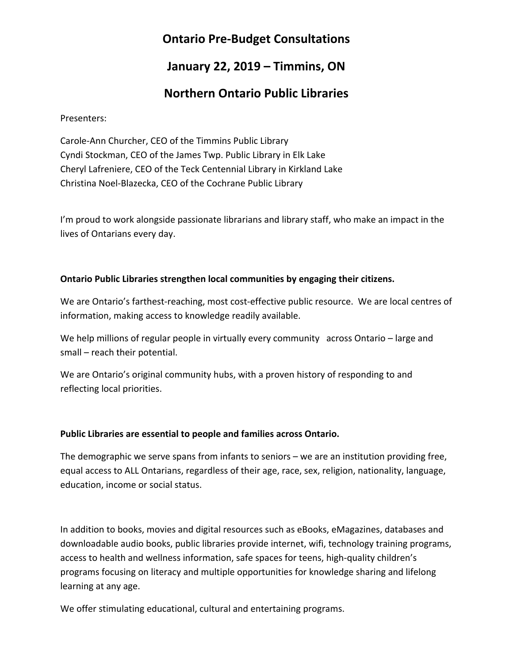# **Ontario Pre-Budget Consultations**

## **January 22, 2019 – Timmins, ON**

# **Northern Ontario Public Libraries**

Presenters:

Carole-Ann Churcher, CEO of the Timmins Public Library Cyndi Stockman, CEO of the James Twp. Public Library in Elk Lake Cheryl Lafreniere, CEO of the Teck Centennial Library in Kirkland Lake Christina Noel-Blazecka, CEO of the Cochrane Public Library

I'm proud to work alongside passionate librarians and library staff, who make an impact in the lives of Ontarians every day.

## **Ontario Public Libraries strengthen local communities by engaging their citizens.**

We are Ontario's farthest-reaching, most cost-effective public resource. We are local centres of information, making access to knowledge readily available.

We help millions of regular people in virtually every community across Ontario – large and small – reach their potential.

We are Ontario's original community hubs, with a proven history of responding to and reflecting local priorities.

## **Public Libraries are essential to people and families across Ontario.**

The demographic we serve spans from infants to seniors – we are an institution providing free, equal access to ALL Ontarians, regardless of their age, race, sex, religion, nationality, language, education, income or social status.

In addition to books, movies and digital resources such as eBooks, eMagazines, databases and downloadable audio books, public libraries provide internet, wifi, technology training programs, access to health and wellness information, safe spaces for teens, high-quality children's programs focusing on literacy and multiple opportunities for knowledge sharing and lifelong learning at any age.

We offer stimulating educational, cultural and entertaining programs.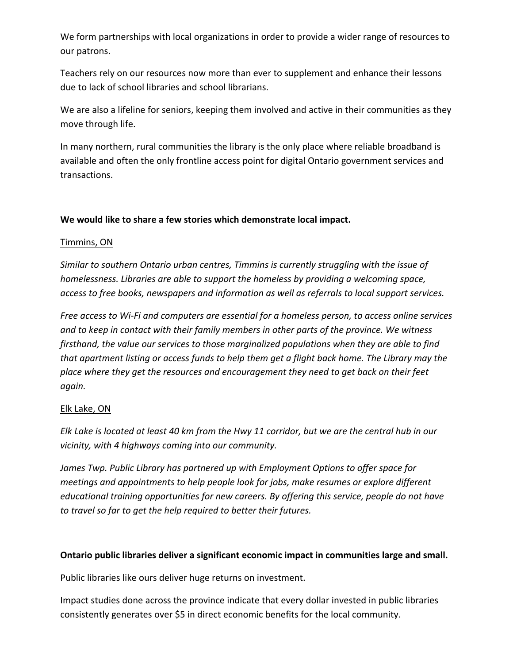We form partnerships with local organizations in order to provide a wider range of resources to our patrons.

Teachers rely on our resources now more than ever to supplement and enhance their lessons due to lack of school libraries and school librarians.

We are also a lifeline for seniors, keeping them involved and active in their communities as they move through life.

In many northern, rural communities the library is the only place where reliable broadband is available and often the only frontline access point for digital Ontario government services and transactions.

## **We would like to share a few stories which demonstrate local impact.**

### Timmins, ON

*Similar to southern Ontario urban centres, Timmins is currently struggling with the issue of homelessness. Libraries are able to support the homeless by providing a welcoming space, access to free books, newspapers and information as well as referrals to local support services.*

*Free access to Wi-Fi and computers are essential for a homeless person, to access online services and to keep in contact with their family members in other parts of the province. We witness firsthand, the value our services to those marginalized populations when they are able to find that apartment listing or access funds to help them get a flight back home. The Library may the place where they get the resources and encouragement they need to get back on their feet again.*

## Elk Lake, ON

*Elk Lake is located at least 40 km from the Hwy 11 corridor, but we are the central hub in our vicinity, with 4 highways coming into our community.*

*James Twp. Public Library has partnered up with Employment Options to offer space for meetings and appointments to help people look for jobs, make resumes or explore different educational training opportunities for new careers. By offering this service, people do not have to travel so far to get the help required to better their futures.*

## **Ontario public libraries deliver a significant economic impact in communities large and small.**

Public libraries like ours deliver huge returns on investment.

Impact studies done across the province indicate that every dollar invested in public libraries consistently generates over \$5 in direct economic benefits for the local community.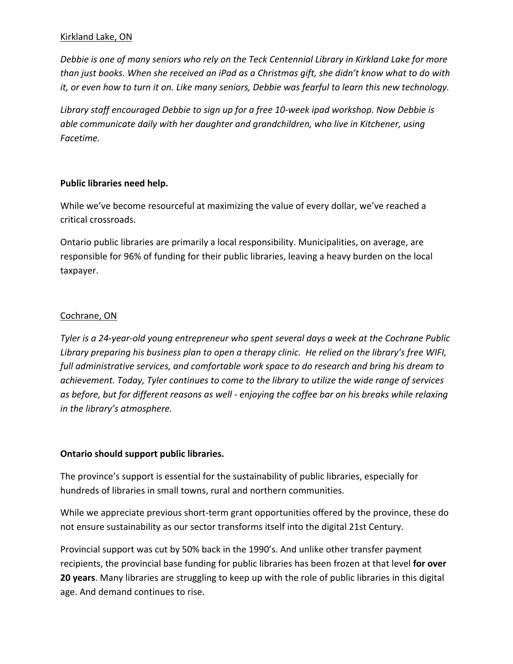### Kirkland Lake, ON

*Debbie is one of many seniors who rely on the Teck Centennial Library in Kirkland Lake for more than just books. When she received an iPad as a Christmas gift, she didn't know what to do with it, or even how to turn it on. Like many seniors, Debbie was fearful to learn this new technology.* 

*Library staff encouraged Debbie to sign up for a free 10-week ipad workshop. Now Debbie is able communicate daily with her daughter and grandchildren, who live in Kitchener, using Facetime.* 

#### **Public libraries need help.**

While we've become resourceful at maximizing the value of every dollar, we've reached a critical crossroads.

Ontario public libraries are primarily a local responsibility. Municipalities, on average, are responsible for 96% of funding for their public libraries, leaving a heavy burden on the local taxpayer.

### Cochrane, ON

*Tyler is a 24-year-old young entrepreneur who spent several days a week at the Cochrane Public Library preparing his business plan to open a therapy clinic. He relied on the library's free WIFI, full administrative services, and comfortable work space to do research and bring his dream to achievement. Today, Tyler continues to come to the library to utilize the wide range of services as before, but for different reasons as well - enjoying the coffee bar on his breaks while relaxing in the library's atmosphere.* 

#### **Ontario should support public libraries.**

The province's support is essential for the sustainability of public libraries, especially for hundreds of libraries in small towns, rural and northern communities.

While we appreciate previous short-term grant opportunities offered by the province, these do not ensure sustainability as our sector transforms itself into the digital 21st Century.

Provincial support was cut by 50% back in the 1990's. And unlike other transfer payment recipients, the provincial base funding for public libraries has been frozen at that level **for over 20 years**. Many libraries are struggling to keep up with the role of public libraries in this digital age. And demand continues to rise.